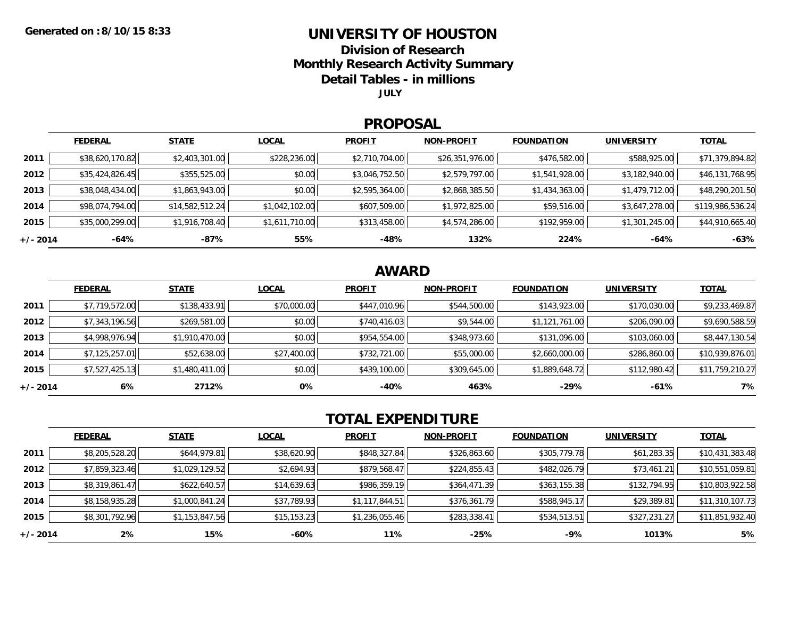### **UNIVERSITY OF HOUSTON**

**Division of Research**

**Monthly Research Activity Summary**

**Detail Tables - in millions**

**JULY**

#### **PROPOSAL**

|            | <b>FEDERAL</b>  | <b>STATE</b>    | <b>LOCAL</b>   | <b>PROFIT</b>  | <b>NON-PROFIT</b> | <b>FOUNDATION</b> | <b>UNIVERSITY</b> | <b>TOTAL</b>     |
|------------|-----------------|-----------------|----------------|----------------|-------------------|-------------------|-------------------|------------------|
| 2011       | \$38,620,170.82 | \$2,403,301.00  | \$228,236.00   | \$2,710,704.00 | \$26,351,976.00   | \$476,582.00      | \$588,925.00      | \$71,379,894.82  |
| 2012       | \$35,424,826.45 | \$355,525.00    | \$0.00         | \$3,046,752.50 | \$2,579,797.00    | \$1,541,928.00    | \$3,182,940.00    | \$46,131,768.95  |
| 2013       | \$38,048,434.00 | \$1,863,943.00  | \$0.00         | \$2,595,364.00 | \$2,868,385.50    | \$1,434,363.00    | \$1,479,712.00    | \$48,290,201.50  |
| 2014       | \$98,074,794.00 | \$14,582,512.24 | \$1,042,102.00 | \$607,509.00   | \$1,972,825.00    | \$59,516.00       | \$3,647,278.00    | \$119,986,536.24 |
| 2015       | \$35,000,299.00 | \$1,916,708.40  | \$1,611,710.00 | \$313,458.00   | \$4,574,286.00    | \$192,959.00      | \$1,301,245.00    | \$44,910,665.40  |
| $+/- 2014$ | -64%            | -87%            | 55%            | -48%           | 132%              | 224%              | -64%              | $-63%$           |

## **AWARD**

|            | <b>FEDERAL</b> | <b>STATE</b>   | <b>LOCAL</b> | <b>PROFIT</b> | <b>NON-PROFIT</b> | <b>FOUNDATION</b> | <b>UNIVERSITY</b> | <b>TOTAL</b>    |
|------------|----------------|----------------|--------------|---------------|-------------------|-------------------|-------------------|-----------------|
| 2011       | \$7,719,572.00 | \$138,433.91   | \$70,000.00  | \$447,010.96  | \$544,500.00      | \$143,923.00      | \$170,030.00      | \$9,233,469.87  |
| 2012       | \$7,343,196.56 | \$269,581.00   | \$0.00       | \$740,416.03  | \$9,544.00        | \$1,121,761.00    | \$206,090.00      | \$9,690,588.59  |
| 2013       | \$4,998,976.94 | \$1,910,470.00 | \$0.00       | \$954,554.00  | \$348,973.60      | \$131,096.00      | \$103,060.00      | \$8,447,130.54  |
| 2014       | \$7,125,257.01 | \$52,638.00    | \$27,400.00  | \$732,721.00  | \$55,000.00       | \$2,660,000.00    | \$286,860.00      | \$10,939,876.01 |
| 2015       | \$7,527,425.13 | \$1,480,411.00 | \$0.00       | \$439,100.00  | \$309,645.00      | \$1,889,648.72    | \$112,980.42      | \$11,759,210.27 |
| $+/- 2014$ | 6%             | 2712%          | 0%           | $-40%$        | 463%              | $-29%$            | $-61%$            | 7%              |

# **TOTAL EXPENDITURE**

|          | <b>FEDERAL</b> | <b>STATE</b>   | <b>LOCAL</b> | <b>PROFIT</b>  | <b>NON-PROFIT</b> | <b>FOUNDATION</b> | <b>UNIVERSITY</b> | <b>TOTAL</b>    |
|----------|----------------|----------------|--------------|----------------|-------------------|-------------------|-------------------|-----------------|
| 2011     | \$8,205,528.20 | \$644,979.81   | \$38,620.90  | \$848,327.84   | \$326,863.60      | \$305,779.78      | \$61,283.35       | \$10,431,383.48 |
| 2012     | \$7,859,323.46 | \$1,029,129.52 | \$2,694.93   | \$879,568.47   | \$224,855.43      | \$482,026.79      | \$73,461.21       | \$10,551,059.81 |
| 2013     | \$8,319,861.47 | \$622,640.57   | \$14,639.63  | \$986,359.19   | \$364,471.39      | \$363,155.38      | \$132,794.95      | \$10,803,922.58 |
| 2014     | \$8,158,935.28 | \$1,000,841.24 | \$37,789.93  | \$1,117,844.51 | \$376,361.79      | \$588,945.17      | \$29,389.81       | \$11,310,107.73 |
| 2015     | \$8,301,792.96 | \$1,153,847.56 | \$15,153.23  | \$1,236,055.46 | \$283,338.41      | \$534,513.51      | \$327,231.27      | \$11,851,932.40 |
| +/- 2014 | $2\%$          | 15%            | -60%         | 11%            | $-25%$            | $-9%$             | 1013%             | 5%              |